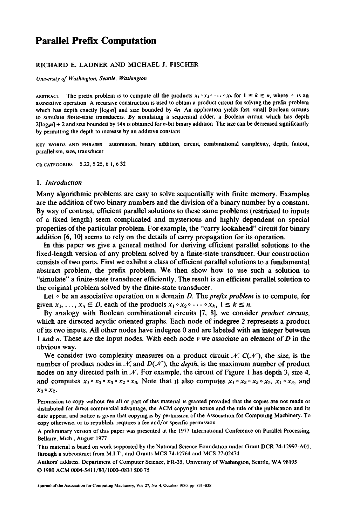# **Parallel Prefix Computation**

## RICHARD E. LADNER AND MICHAEL J. FISCHER

*Umverstty of Washington, Seattle, Washington* 

ABSTRACT The prefix problem is to compute all the products  $x_1 \circ x_2 \circ \cdots \circ x_k$  for  $1 \le k \le n$ , where  $\circ$  is an associative operation A recursive construction is used to obtain a product circuit for solving the prefix problem which has depth exactly  $\lceil \log_2 n \rceil$  and size bounded by  $4n$  An application yields fast, small Boolean circuits to simulate finite-state transducers. By simulating a sequential adder, a Boolean circuit which has depth  $2[log_2 n] + 2$  and size bounded by 14n is obtained for n-bit binary addition. The size can be decreased significantly by permitting the depth to increase by an additive constant

KEY WORDS AND PHRASES automaton, binary addition, circuit, combinational complexity, depth, fanout, parallehsm, size, transducer

CR CATEGORIES 5.22, 5 25, 6 1, 6 32

#### *1. Introduction*

Many algorithmic problems are easy to solve sequentially with finite memory. Examples are the addition of two binary numbers and the division of a binary number by a constant. By way of contrast, efficient parallel solutions to these same problems (restricted to inputs of a fixed length) seem complicated and mysterious and highly dependent on special properties of the particular problem. For example, the "carry lookahead" circuit for binary addition [6, 10] seems to rely on the details of carry propagation for its operation.

In this paper we give a general method for deriving efficient parallel solutions to the fixed-length version of any problem solved by a finite-state transducer. Our construction consists of two parts. First we exhibit a class of efficient parallel solutions to a fundamental abstract problem, the prefix problem. We then show how to use such a solution to "simulate" a finite-state transducer efficiently. The result is an efficient parallel solution to the original problem solved by the finite-state transducer.

Let  $\circ$  be an associative operation on a domain D. The *prefix problem* is to compute, for given  $x_1, \ldots, x_n \in D$ , each of the products  $x_1 \circ x_2 \circ \cdots \circ x_k$ ,  $1 \le k \le n$ .

By analogy with Boolean combinational circuits [7, 8], we consider *product circuits,*  which are directed acyclic oriented graphs. Each node of indegree 2 represents a product of its two inputs. All other nodes have indegree 0 and are labeled with an integer between 1 and n. These are the input nodes. With each node  $\nu$  we associate an element of D in the obvious way.

We consider two complexity measures on a product circuit  $\mathcal{N}$ .  $C(\mathcal{N})$ , the *size*, is the number of product nodes in  $\mathcal{N}$ , and  $D(\mathcal{N})$ , the *depth*, is the maximum number of product nodes on any directed path in  $\mathcal N$ . For example, the circuit of Figure 1 has depth 3, size 4, and computes  $x_1 \circ x_3 \circ x_3 \circ x_2 \circ x_3$ . Note that it also computes  $x_1 \circ x_3 \circ x_3 \circ x_2$ ,  $x_1 \circ x_3$ , and  $x_3 \circ x_2$ .

Permission to copy without fee all or part of this material is granted provided that the copies are not made or distributed for direct commercial advantage, the ACM copyright notice and the title of the pubhcauon and its date appear, and notice is given that copying is by permission of the Association for Computing Machinery. To copy otherwise, or to republish, requires a fee and/or specific permission

A preliminary version of this paper was presented at the 1977 International Conference on Parallel Processing, Bellaire, Mich, August 1977

This material is based on work supported by the National Science Foundation under Grant DCR 74-12997-A01, through a subcontract from M.1.T, and Grants MCS 74-12764 and MCS 77-02474

Authors' address. Department of Computer Science, FR-35, University of Washington, Seattle, WA 98195 © 1980 ACM 0004-5411/80/1000-0831 \$00 75

Journal of the Association for Computing Machinery, Vol 27, No 4, October 1980, pp 831-838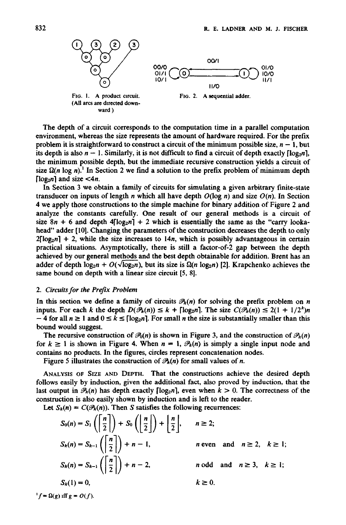

(All arcs are directed downward )



FIG. 2. A sequential adder.

The depth of a circuit corresponds to the computation time in a parallel computation environment, whereas the size represents the amount of hardware required. For the prefix problem it is straightforward to construct a circuit of the minimum possible size,  $n - 1$ , but its depth is also  $n - 1$ . Similarly, it is not difficult to find a circuit of depth exactly  $\lceil \log_2 n \rceil$ , the minimum possible depth, but the immediate recursive construction yields a circuit of size  $\Omega(n \log n)$ . In Section 2 we find a solution to the prefix problem of minimum depth [ $log_2 n$ ] and size  $\lt 4n$ .

In Section 3 we obtain a family of circuits for simulating a given arbitrary finite-state transducer on inputs of length *n* which all have depth  $O(\log n)$  and size  $O(n)$ . In Section 4 we apply those constructions to the simple machine for binary addition of Figure 2 and analyze the constants carefully. One result of our general methods is a circuit of size  $8n + 6$  and depth  $4\lceil log_2 n \rceil + 2$  which is essentially the same as the "carry lookahead" adder [10]. Changing the parameters of the construction decreases the depth to only  $2[\log_2 n] + 2$ , while the size increases to 14n, which is possibly advantageous in certain practical situations. Asymptotically, there is still a factor-of-2 gap between the depth achieved by our general methods and the best depth obtainable for addition. Brent has an adder of depth  $log_2 n + O(\sqrt{log_2 n})$ , but its size is  $\Omega(n log_2 n)$  [2]. Krapchenko achieves the same bound on depth with a linear size circuit [5, 8].

## *2. Circuits for the Prefix Problem*

In this section we define a family of circuits  $\mathcal{P}_k(n)$  for solving the prefix problem on n inputs. For each k the depth  $D(\mathcal{P}_k(n)) \leq k + \lceil \log_2 n \rceil$ . The size  $C(\mathcal{P}_k(n)) \leq 2(1 + 1/2^k)n$  $-$  4 for all  $n \ge 1$  and  $0 \le k \le \lfloor \log_2 n \rfloor$ . For small *n* the size is substantially smaller than this bound would suggest.

The recursive construction of  $\mathcal{P}_0(n)$  is shown in Figure 3, and the construction of  $\mathcal{P}_k(n)$ for  $k \ge 1$  is shown in Figure 4. When  $n = 1$ ,  $\mathcal{P}_k(n)$  is simply a single input node and contains no products. In the figures, circles represent concatenation nodes.

Figure 5 illustrates the construction of  $\mathcal{P}_k(n)$  for small values of n.

ANALYSIS OF SIZE AND DEPTH. That the constructions achieve the desired depth follows easily by induction, given the additional fact, also proved by induction, that the last output in  $\mathcal{P}_k(n)$  has depth exactly  $\lceil \log_2 n \rceil$ , even when  $k > 0$ . The correctness of the construction is also easily shown by induction and is left to the reader.

Let  $S_h(n) = C(\mathcal{P}_h(n))$ . Then S satisfies the following recurrences:

$$
S_0(n) = S_1\left(\left\lfloor \frac{n}{2} \right\rfloor\right) + S_0\left(\left\lfloor \frac{n}{2} \right\rfloor\right) + \left\lfloor \frac{n}{2} \right\rfloor, \quad n \ge 2;
$$
  
\n
$$
S_k(n) = S_{k-1}\left(\left\lfloor \frac{n}{2} \right\rfloor\right) + n - 1, \quad n \text{ even and } n \ge 2, \ k \ge 1;
$$
  
\n
$$
S_k(n) = S_{k-1}\left(\left\lfloor \frac{n}{2} \right\rfloor\right) + n - 2, \quad n \text{ odd and } n \ge 3, \ k \ge 1;
$$
  
\n
$$
S_k(1) = 0, \quad k \ge 0.
$$

 $f = \Omega(g)$  iff  $g = O(f)$ .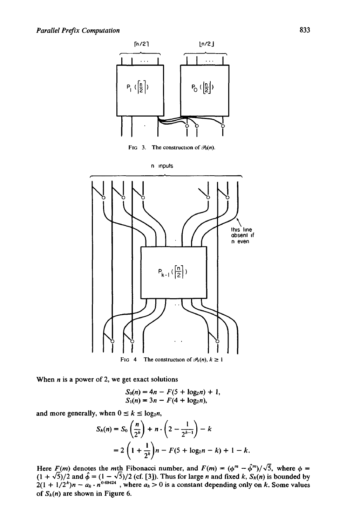



When  $n$  is a power of 2, we get exact solutions

$$
S_0(n) = 4n - F(5 + \log_2 n) + 1,
$$
  
\n
$$
S_1(n) = 3n - F(4 + \log_2 n),
$$

and more generally, when  $0 \le k \le \log_2 n$ ,

$$
S_k(n) = S_0 \left(\frac{n}{2^k}\right) + n \cdot \left(2 - \frac{1}{2^{k-1}}\right) - k
$$
  
=  $2 \left(1 + \frac{1}{2^k}\right) n - F(5 + \log_2 n - k) + 1 - k.$ 

Here *F(m)* denotes the *m*th Fibonacci number, and  $F(m) = (\phi^m - \hat{\phi}^m)/\sqrt{5}$ , where  $\phi =$  $(1 + \sqrt{5})/2$  and  $\hat{\phi} = (1 - \sqrt{5})/2$  (cf. [3]). Thus for large *n* and fixed *k*,  $S_k(n)$  is bounded by  $2(1 + 1/2<sup>n</sup>)n - a<sub>k</sub> \cdot n<sup>0.6424</sup>$ , where  $a<sub>k</sub> > 0$  is a constant depending only on k. Some values of  $S_k(n)$  are shown in Figure 6.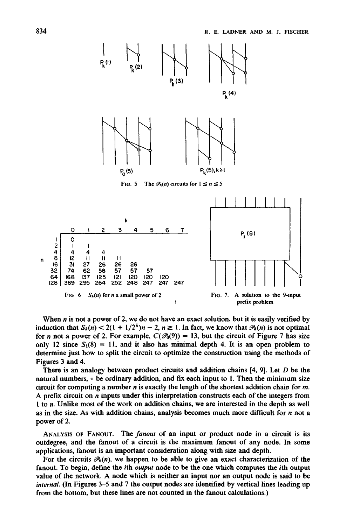

When  $n$  is not a power of 2, we do not have an exact solution, but it is easily verified by induction that  $S_k(n) < 2(1 + 1/2^k)n - 2$ ,  $n \ge 1$ . In fact, we know that  $\mathcal{P}_k(n)$  is not optimal for n not a power of 2. For example,  $C(\mathcal{B}_0(9)) = 13$ , but the circuit of Figure 7 has size only 12 since  $S_1(8) = 11$ , and it also has minimal depth 4. It is an open problem to determine just how to split the circuit to optimize the construction using the methods of Figures 3 and 4.

There is an analogy between product circuits and addition chains [4, 9]. Let D be the natural numbers,  $\circ$  be ordinary addition, and fix each input to 1. Then the minimum size circuit for computing a number  $n$  is exactly the length of the shortest addition chain for  $m$ . A prefix circuit on  $n$  inputs under this interpretation constructs each of the integers from 1 to n. Unlike most of the work on addition chains, we are interested in the depth as well as in the size. As with addition chains, analysis becomes much more difficult for  $n$  not a power of 2.

ANALYSIS OF FANOUT. The *fanout* of an input or product node in a circuit is its outdegree, and the fanout of a circuit is the maximum fanout of any node. In some applications, fanout is an important consideration along with size and depth.

For the circuits  $\mathcal{P}_k(n)$ , we happen to be able to give an exact characterization of the fanout. To begin, define the ith *output* node to be the one which computes the ith output value of the network. A node which is neither an input nor an output node is said to be *internal.* (In Figures 3-5 and 7 the output nodes are identified by vertical lines leading up from the bottom, but these lines are not counted in the fanout calculations.)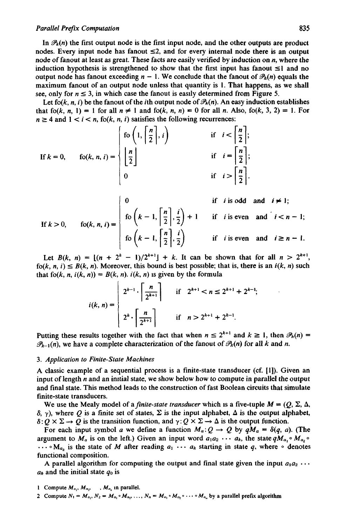## *Parallel Prefix Computation* 835

In  $\mathcal{P}_k(n)$  the first output node is the first input node, and the other outputs are product nodes. Every input node has fanout  $\leq 2$ , and for every internal node there is an output node of fanout at least as great. These facts are easily verified by induction on n, where the induction hypothesis is strengthened to show that the first input has fanout  $\leq 1$  and no output node has fanout exceeding  $n - 1$ . We conclude that the fanout of  $\mathcal{P}_k(n)$  equals the maximum fanout of an output node unless that quantity is 1. That happens, as we shall see, only for  $n \leq 3$ , in which case the fanout is easily determined from Figure 5.

Let fo(k, n, i) be the fanout of the ith output node of  $\mathcal{P}_k(n)$ . An easy induction establishes that fo(k, n, 1) = 1 for all  $n \neq 1$  and fo(k, n, n) = 0 for all n. Also, fo(k, 3, 2) = 1. For  $n \ge 4$  and  $1 < i < n$ , fo(k, n, i) satisfies the following recurrences:

If 
$$
k = 0
$$
,  $f(x, n, i) =$ 
$$
\begin{cases} f_0\left(1, \left\lceil \frac{n}{2} \right\rceil, i\right) & \text{if } i < \left\lceil \frac{n}{2} \right\rceil; \\ \left\lfloor \frac{n}{2} \right\rfloor & \text{if } i = \left\lceil \frac{n}{2} \right\rceil; \\ 0 & \text{if } i > \left\lceil \frac{n}{2} \right\rceil. \end{cases}
$$

If 
$$
k > 0
$$
,  $f_0(k, n, i) =$ 
$$
\begin{cases}\n0 & \text{if } i \text{ is odd and } i \neq 1; \\
\text{for } k = 1, \left\lfloor \frac{n}{2} \right\rfloor, \frac{i}{2} + 1 & \text{if } i \text{ is even and } i < n - 1; \\
\text{for } k = 1, \left\lfloor \frac{n}{2} \right\rfloor, \frac{i}{2}\n\end{cases}
$$
if  $i \text{ is even and } i \geq n - 1$ .

Let  $B(k, n) = (n + 2^{k} - 1)/2^{k+1} + k$ . It can be shown that for all  $n > 2^{k+1}$ , fo(k, *n*, *i*)  $\leq B(k, n)$ . Moreover, this bound is best possible; that is, there is an *i*(k, *n*) such that fo(k, *n*,  $i(k, n) = B(k, n)$ .  $i(k, n)$  is given by the formula

$$
i(k, n) = \begin{cases} 2^{k-1} \cdot \left\lceil \frac{n}{2^{k+1}} \right\rceil & \text{if} \quad 2^{k+1} < n \le 2^{k+1} + 2^{k-1}; \\ 2^k \cdot \left\lceil \frac{n}{2^{k+1}} \right\rceil & \text{if} \quad n > 2^{k+1} + 2^{k-1}. \end{cases}
$$

Putting these results together with the fact that when  $n \leq 2^{k+1}$  and  $k \geq 1$ , then  $\mathcal{P}_k(n) =$  $\mathscr{P}_{k-1}(n)$ , we have a complete characterization of the fanout of  $\mathscr{P}_k(n)$  for all k and n.

## *3. Application to Finite-State Machines*

A classic example of a sequential process is a finite-state transducer (of. [1]). Given an input of length  $n$  and an initial state, we show below how to compute in parallel the output and final state. This method leads to the construction of fast Boolean circuits that simulate finite-state transducers.

We use the Mealy model of a *finite-state transducer* which is a five-tuple  $M = (Q, \Sigma, \Delta, \Delta)$  $\delta$ ,  $\gamma$ ), where O is a finite set of states,  $\Sigma$  is the input alphabet,  $\Delta$  is the output alphabet,  $\delta: Q \times \Sigma \to Q$  is the transition function, and  $\gamma: Q \times \Sigma \to \Delta$  is the output function.

For each input symbol a we define a function  $M_a: Q \to Q$  by  $qM_a = \delta(q, a)$ . (The argument to  $M_a$  is on the left.) Given an input word  $a_1a_2 \cdots a_k$ , the state  $qM_a$ ,  $\circ M_a$ ,  $\circ$  $\ldots \circ M_{a_k}$  is the state of M after reading  $a_1 \cdots a_k$  starting in state q, where  $\circ$  denotes functional composition.

A parallel algorithm for computing the output and final state given the input  $a_1 a_2 \cdots$  $a_k$  and the initial state  $q_0$  is

1 Compute  $M_{a_1}, M_{a_2}, \ldots, M_{a_n}$  in parallel.

2 Compute  $N_1 = M_{a_1}$ ,  $N_2 = M_{a_1} \circ M_{a_2}$ , ...,  $N_n = M_{a_1} \circ M_{a_2} \circ \cdots \circ M_{a_n}$  by a parallel prefix algorithm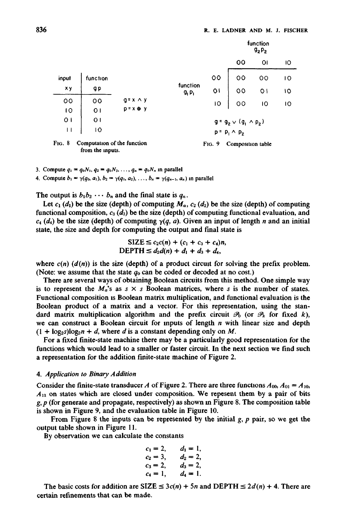|                  |                                                 |                  |                               |         | function<br>$92P_2$                   |                |    |  |  |
|------------------|-------------------------------------------------|------------------|-------------------------------|---------|---------------------------------------|----------------|----|--|--|
|                  |                                                 |                  |                               |         | oo                                    | ΟI             | 10 |  |  |
| input            | function                                        |                  |                               | $\circ$ | 00                                    | 00             | 10 |  |  |
| <b>xy</b>        | g p                                             |                  | function<br>9, P <sub>L</sub> | o١      | 00                                    | O <sub>1</sub> | 10 |  |  |
| oo               | oo                                              | $q = x \wedge y$ |                               | łО      | 00                                    | 10             | 10 |  |  |
| 10               | $\overline{O}$ l                                | $p = x \oplus y$ |                               |         |                                       |                |    |  |  |
| $\overline{O}$ 1 | $\overline{O}$ l                                |                  |                               |         | $q = q_{2} \vee (q_{1} \wedge p_{2})$ |                |    |  |  |
| Н                | 10                                              |                  |                               |         | $p = p_1 \wedge p_2$                  |                |    |  |  |
| FIG. 8           | Computation of the function<br>from the inputs. |                  | FIG. 9<br>Composition table   |         |                                       |                |    |  |  |

3. Compute  $q_1 = q_0N_1$ ,  $q_2 = q_0N_2$ , ...,  $q_n = q_0N_n$  in parallel

4. Compute  $b_1 = \gamma(q_0, a_1), b_2 = \gamma(q_1, a_2), \ldots, b_n = \gamma(q_{n-1}, a_n)$  in parallel

The output is  $b_1b_2 \cdots b_n$  and the final state is  $q_n$ .

Let  $c_1$  (d<sub>i</sub>) be the size (depth) of computing  $M_a$ ,  $c_2$  (d<sub>2</sub>) be the size (depth) of computing functional composition,  $c_3$  ( $d_3$ ) be the size (depth) of computing functional evaluation, and  $c_4$  (d<sub>4</sub>) be the size (depth) of computing  $\gamma(q, a)$ . Given an input of length n and an initial state, the size and depth for computing the output and final state is

$$
\begin{aligned} \text{SIZE} &\leq c_2c(n) + (c_1 + c_3 + c_4)n, \\ \text{DEPTH} &\leq d_2d(n) + d_1 + d_3 + d_4, \end{aligned}
$$

where  $c(n)$   $(d(n))$  is the size (depth) of a product circuit for solving the prefix problem. (Note: we assume that the state  $q_0$  can be coded or decoded at no cost.)

There are several ways of obtaining Boolean circuits from this method. One simple way is to represent the  $M_a$ 's as  $s \times s$  Boolean matrices, where s is the number of states. Functional composition is Boolean matrix multiplication, and functional evaluation is the Boolean product of a matrix and a vector. For this representation, using the standard matrix multiplication algorithm and the prefix circuit  $\mathcal{P}_0$  (or  $\mathcal{P}_k$  for fixed k), we can construct a Boolean circuit for inputs of length  $n$  with linear size and depth  $(1 + \log_2 s) \log_2 n + d$ , where d is a constant depending only on M.

For a fixed finite-state machine there may be a particularly good representation for the functions which would lead to a smaller or faster circuit. In the next section we find such a representation for the addition finite-state machine of Figure 2.

### *4. Application to Binary Addition*

Consider the finite-state transducer A of Figure 2. There are three functions  $A_{00}$ ,  $A_{01} = A_{10}$ ,  $A_{11}$  on states which are closed under composition. We repesent them by a pair of bits  $g, p$  (for generate and propagate, respectively) as shown in Figure 8. The composition table is shown in Figure 9, and the evaluation table in Figure 10.

From Figure 8 the inputs can be represented by the initial  $g$ ,  $p$  pair, so we get the output table shown in Figure 11.

By observation we can calculate the constants

$$
c_1 = 2,
$$
  $d_1 = 1,$   
\n $c_2 = 3,$   $d_2 = 2,$   
\n $c_3 = 2,$   $d_3 = 2,$   
\n $c_4 = 1,$   $d_4 = 1.$ 

The basic costs for addition are SIZE  $\leq 3c(n) + 5n$  and DEPTH  $\leq 2d(n) + 4$ . There are certain refinements that can be made.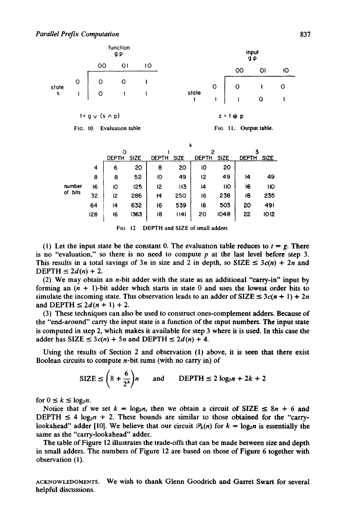

FIG. 10 Evaluation table



|     | k     |             |              |      |              |             |              |             |  |  |
|-----|-------|-------------|--------------|------|--------------|-------------|--------------|-------------|--|--|
|     | Ω     |             |              |      | 2            |             |              |             |  |  |
|     | DEPTH | <b>SIZE</b> | <b>DEPTH</b> | SIZE | <b>DEPTH</b> | <b>SIZE</b> | <b>DEPTH</b> | <b>SIZE</b> |  |  |
| 4   | 6     | 20          | 8            | 20   | ю            | 20          |              |             |  |  |
| 8   | 8     | 52          | 10           | 49   | 12           | 49          | 14           | 49          |  |  |
| 16  | iО    | 125         | 12           | 113  | 14           | ПO          | 16           | 110         |  |  |
| 32  | 12    | 286         | 14           | 250  | 16           | 238         | 18           | 235         |  |  |
| 64  | 14    | 632         | 16           | 539  | 18           | 503         | 20           | 491         |  |  |
| 128 | 16    | 1363        | 18           | 1141 | 20           | 1048        | 22           | 1012        |  |  |
|     |       |             |              |      |              |             |              |             |  |  |

FIG 12 DEPTH and SIZE of small adders

(1) Let the input state be the constant 0. The evaluation table reduces to  $t = g$ . There is no "evaluation," so there is no need to compute  $p$  at the last level before step 3. This results in a total savings of 3n in size and 2 in depth, so SIZE  $\leq 3c(n) + 2n$  and DEPTH  $\leq 2d(n) + 2$ .

(2) We may obtain an n-bit adder with the state as an additional "carry-in" input by forming an  $(n + 1)$ -bit adder which starts in state 0 and uses the lowest order bits to simulate the incoming state. This observation leads to an adder of SIZE  $\leq 3c(n + 1) + 2n$ and DEPTH  $\leq 2d(n + 1) + 2$ .

(3) These techniques can also be used to construct ones-complement adders. Because of the "end-around" carry the input state is a function of the input numbers. The input state is computed in step 2, which makes it available for step 3 where it is used. In this case the adder has  $SIZE \leq 3c(n) + 5n$  and DEPTH  $\leq 2d(n) + 4$ .

Using the results of Section 2 and observation (l) above, it is seen that there exist Boolean circuits to compute  $n$ -bit sums (with no carry in) of

$$
\text{SIZE} \le \left(8 + \frac{6}{2^k}\right)n \qquad \text{and} \qquad \text{DEPTH} \le 2\log_2 n + 2k + 2
$$

for  $0 \leq k \leq \log_2 n$ .

Notice that if we set  $k = \log_2 n$ , then we obtain a circuit of SIZE  $\leq 8n + 6$  and DEPTH  $\leq 4 \log_2 n + 2$ . These bounds are similar to those obtained for the "carrylookahead" adder [10]. We believe that our circuit  $P_k(n)$  for  $k = \log_2 n$  is essentially the same as the "carry-lookahead" adder.

The table of Figure 12 illustrates the trade-offs that can be made between size and depth in small adders. The numbers of Figure 12 are based on those of Figure 6 together with observation (1).

ACKNOWLEDGMENTS. We wish to thank Glenn Goodrich and Garret Swart for several helpful discussions.